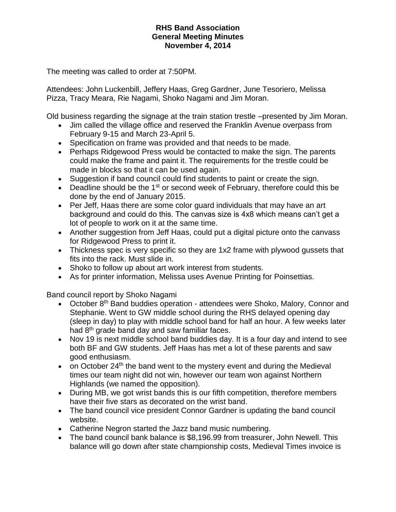The meeting was called to order at 7:50PM.

Attendees: John Luckenbill, Jeffery Haas, Greg Gardner, June Tesoriero, Melissa Pizza, Tracy Meara, Rie Nagami, Shoko Nagami and Jim Moran.

Old business regarding the signage at the train station trestle –presented by Jim Moran.

- Jim called the village office and reserved the Franklin Avenue overpass from February 9-15 and March 23-April 5.
- Specification on frame was provided and that needs to be made.
- Perhaps Ridgewood Press would be contacted to make the sign. The parents could make the frame and paint it. The requirements for the trestle could be made in blocks so that it can be used again.
- Suggestion if band council could find students to paint or create the sign.
- Deadline should be the 1<sup>st</sup> or second week of February, therefore could this be done by the end of January 2015.
- Per Jeff, Haas there are some color guard individuals that may have an art background and could do this. The canvas size is 4x8 which means can't get a lot of people to work on it at the same time.
- Another suggestion from Jeff Haas, could put a digital picture onto the canvass for Ridgewood Press to print it.
- Thickness spec is very specific so they are 1x2 frame with plywood gussets that fits into the rack. Must slide in.
- Shoko to follow up about art work interest from students.
- As for printer information, Melissa uses Avenue Printing for Poinsettias.

Band council report by Shoko Nagami

- October 8<sup>th</sup> Band buddies operation attendees were Shoko, Malory, Connor and Stephanie. Went to GW middle school during the RHS delayed opening day (sleep in day) to play with middle school band for half an hour. A few weeks later had  $8<sup>th</sup>$  grade band day and saw familiar faces.
- Nov 19 is next middle school band buddies day. It is a four day and intend to see both BF and GW students. Jeff Haas has met a lot of these parents and saw good enthusiasm.
- $\bullet$  on October 24<sup>th</sup> the band went to the mystery event and during the Medieval times our team night did not win, however our team won against Northern Highlands (we named the opposition).
- During MB, we got wrist bands this is our fifth competition, therefore members have their five stars as decorated on the wrist band.
- The band council vice president Connor Gardner is updating the band council website.
- Catherine Negron started the Jazz band music numbering.
- The band council bank balance is \$8,196.99 from treasurer, John Newell. This balance will go down after state championship costs, Medieval Times invoice is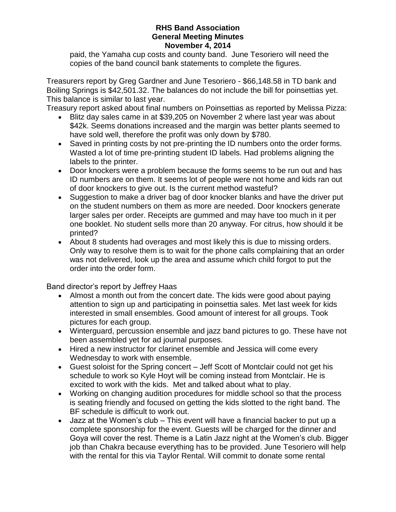paid, the Yamaha cup costs and county band. June Tesoriero will need the copies of the band council bank statements to complete the figures.

Treasurers report by Greg Gardner and June Tesoriero - \$66,148.58 in TD bank and Boiling Springs is \$42,501.32. The balances do not include the bill for poinsettias yet. This balance is similar to last year.

Treasury report asked about final numbers on Poinsettias as reported by Melissa Pizza:

- Blitz day sales came in at \$39,205 on November 2 where last year was about \$42k. Seems donations increased and the margin was better plants seemed to have sold well, therefore the profit was only down by \$780.
- Saved in printing costs by not pre-printing the ID numbers onto the order forms. Wasted a lot of time pre-printing student ID labels. Had problems aligning the labels to the printer.
- Door knockers were a problem because the forms seems to be run out and has ID numbers are on them. It seems lot of people were not home and kids ran out of door knockers to give out. Is the current method wasteful?
- Suggestion to make a driver bag of door knocker blanks and have the driver put on the student numbers on them as more are needed. Door knockers generate larger sales per order. Receipts are gummed and may have too much in it per one booklet. No student sells more than 20 anyway. For citrus, how should it be printed?
- About 8 students had overages and most likely this is due to missing orders. Only way to resolve them is to wait for the phone calls complaining that an order was not delivered, look up the area and assume which child forgot to put the order into the order form.

Band director's report by Jeffrey Haas

- Almost a month out from the concert date. The kids were good about paying attention to sign up and participating in poinsettia sales. Met last week for kids interested in small ensembles. Good amount of interest for all groups. Took pictures for each group.
- Winterguard, percussion ensemble and jazz band pictures to go. These have not been assembled yet for ad journal purposes.
- Hired a new instructor for clarinet ensemble and Jessica will come every Wednesday to work with ensemble.
- Guest soloist for the Spring concert Jeff Scott of Montclair could not get his schedule to work so Kyle Hoyt will be coming instead from Montclair. He is excited to work with the kids. Met and talked about what to play.
- Working on changing audition procedures for middle school so that the process is seating friendly and focused on getting the kids slotted to the right band. The BF schedule is difficult to work out.
- Jazz at the Women's club This event will have a financial backer to put up a complete sponsorship for the event. Guests will be charged for the dinner and Goya will cover the rest. Theme is a Latin Jazz night at the Women's club. Bigger job than Chakra because everything has to be provided. June Tesoriero will help with the rental for this via Taylor Rental. Will commit to donate some rental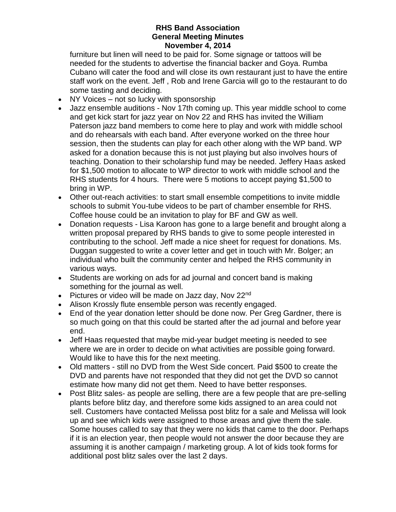furniture but linen will need to be paid for. Some signage or tattoos will be needed for the students to advertise the financial backer and Goya. Rumba Cubano will cater the food and will close its own restaurant just to have the entire staff work on the event. Jeff , Rob and Irene Garcia will go to the restaurant to do some tasting and deciding.

- NY Voices not so lucky with sponsorship
- Jazz ensemble auditions Nov 17th coming up. This year middle school to come and get kick start for jazz year on Nov 22 and RHS has invited the William Paterson jazz band members to come here to play and work with middle school and do rehearsals with each band. After everyone worked on the three hour session, then the students can play for each other along with the WP band. WP asked for a donation because this is not just playing but also involves hours of teaching. Donation to their scholarship fund may be needed. Jeffery Haas asked for \$1,500 motion to allocate to WP director to work with middle school and the RHS students for 4 hours. There were 5 motions to accept paying \$1,500 to bring in WP.
- Other out-reach activities: to start small ensemble competitions to invite middle schools to submit You-tube videos to be part of chamber ensemble for RHS. Coffee house could be an invitation to play for BF and GW as well.
- Donation requests Lisa Karoon has gone to a large benefit and brought along a written proposal prepared by RHS bands to give to some people interested in contributing to the school. Jeff made a nice sheet for request for donations. Ms. Duggan suggested to write a cover letter and get in touch with Mr. Bolger; an individual who built the community center and helped the RHS community in various ways.
- Students are working on ads for ad journal and concert band is making something for the journal as well.
- Pictures or video will be made on Jazz day, Nov  $22^{nd}$
- Alison Krossly flute ensemble person was recently engaged.
- End of the year donation letter should be done now. Per Greg Gardner, there is so much going on that this could be started after the ad journal and before year end.
- Jeff Haas requested that maybe mid-year budget meeting is needed to see where we are in order to decide on what activities are possible going forward. Would like to have this for the next meeting.
- Old matters still no DVD from the West Side concert. Paid \$500 to create the DVD and parents have not responded that they did not get the DVD so cannot estimate how many did not get them. Need to have better responses.
- Post Blitz sales- as people are selling, there are a few people that are pre-selling plants before blitz day, and therefore some kids assigned to an area could not sell. Customers have contacted Melissa post blitz for a sale and Melissa will look up and see which kids were assigned to those areas and give them the sale. Some houses called to say that they were no kids that came to the door. Perhaps if it is an election year, then people would not answer the door because they are assuming it is another campaign / marketing group. A lot of kids took forms for additional post blitz sales over the last 2 days.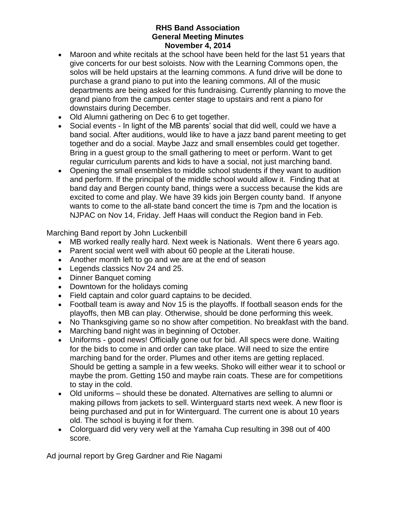- Maroon and white recitals at the school have been held for the last 51 years that give concerts for our best soloists. Now with the Learning Commons open, the solos will be held upstairs at the learning commons. A fund drive will be done to purchase a grand piano to put into the leaning commons. All of the music departments are being asked for this fundraising. Currently planning to move the grand piano from the campus center stage to upstairs and rent a piano for downstairs during December.
- Old Alumni gathering on Dec 6 to get together.
- Social events In light of the MB parents' social that did well, could we have a band social. After auditions, would like to have a jazz band parent meeting to get together and do a social. Maybe Jazz and small ensembles could get together. Bring in a guest group to the small gathering to meet or perform. Want to get regular curriculum parents and kids to have a social, not just marching band.
- Opening the small ensembles to middle school students if they want to audition and perform. If the principal of the middle school would allow it. Finding that at band day and Bergen county band, things were a success because the kids are excited to come and play. We have 39 kids join Bergen county band. If anyone wants to come to the all-state band concert the time is 7pm and the location is NJPAC on Nov 14, Friday. Jeff Haas will conduct the Region band in Feb.

Marching Band report by John Luckenbill

- MB worked really really hard. Next week is Nationals. Went there 6 years ago.
- Parent social went well with about 60 people at the Literati house.
- Another month left to go and we are at the end of season
- Legends classics Nov 24 and 25.
- Dinner Banquet coming
- Downtown for the holidays coming
- Field captain and color guard captains to be decided.
- Football team is away and Nov 15 is the playoffs. If football season ends for the playoffs, then MB can play. Otherwise, should be done performing this week.
- No Thanksgiving game so no show after competition. No breakfast with the band.
- Marching band night was in beginning of October.
- Uniforms good news! Officially gone out for bid. All specs were done. Waiting for the bids to come in and order can take place. Will need to size the entire marching band for the order. Plumes and other items are getting replaced. Should be getting a sample in a few weeks. Shoko will either wear it to school or maybe the prom. Getting 150 and maybe rain coats. These are for competitions to stay in the cold.
- Old uniforms should these be donated. Alternatives are selling to alumni or making pillows from jackets to sell. Winterguard starts next week. A new floor is being purchased and put in for Winterguard. The current one is about 10 years old. The school is buying it for them.
- Colorguard did very very well at the Yamaha Cup resulting in 398 out of 400 score.

Ad journal report by Greg Gardner and Rie Nagami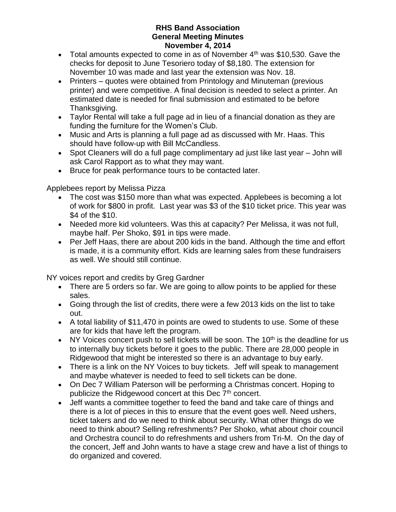- Total amounts expected to come in as of November  $4<sup>th</sup>$  was \$10,530. Gave the checks for deposit to June Tesoriero today of \$8,180. The extension for November 10 was made and last year the extension was Nov. 18.
- Printers quotes were obtained from Printology and Minuteman (previous printer) and were competitive. A final decision is needed to select a printer. An estimated date is needed for final submission and estimated to be before Thanksgiving.
- Taylor Rental will take a full page ad in lieu of a financial donation as they are funding the furniture for the Women's Club.
- Music and Arts is planning a full page ad as discussed with Mr. Haas. This should have follow-up with Bill McCandless.
- Spot Cleaners will do a full page complimentary ad just like last year John will ask Carol Rapport as to what they may want.
- Bruce for peak performance tours to be contacted later.

Applebees report by Melissa Pizza

- The cost was \$150 more than what was expected. Applebees is becoming a lot of work for \$800 in profit. Last year was \$3 of the \$10 ticket price. This year was \$4 of the \$10.
- Needed more kid volunteers. Was this at capacity? Per Melissa, it was not full, maybe half. Per Shoko, \$91 in tips were made.
- Per Jeff Haas, there are about 200 kids in the band. Although the time and effort is made, it is a community effort. Kids are learning sales from these fundraisers as well. We should still continue.

NY voices report and credits by Greg Gardner

- There are 5 orders so far. We are going to allow points to be applied for these sales.
- Going through the list of credits, there were a few 2013 kids on the list to take out.
- A total liability of \$11,470 in points are owed to students to use. Some of these are for kids that have left the program.
- $\bullet$  NY Voices concert push to sell tickets will be soon. The 10<sup>th</sup> is the deadline for us to internally buy tickets before it goes to the public. There are 28,000 people in Ridgewood that might be interested so there is an advantage to buy early.
- There is a link on the NY Voices to buy tickets. Jeff will speak to management and maybe whatever is needed to feed to sell tickets can be done.
- On Dec 7 William Paterson will be performing a Christmas concert. Hoping to publicize the Ridgewood concert at this Dec 7<sup>th</sup> concert.
- Jeff wants a committee together to feed the band and take care of things and there is a lot of pieces in this to ensure that the event goes well. Need ushers, ticket takers and do we need to think about security. What other things do we need to think about? Selling refreshments? Per Shoko, what about choir council and Orchestra council to do refreshments and ushers from Tri-M. On the day of the concert, Jeff and John wants to have a stage crew and have a list of things to do organized and covered.